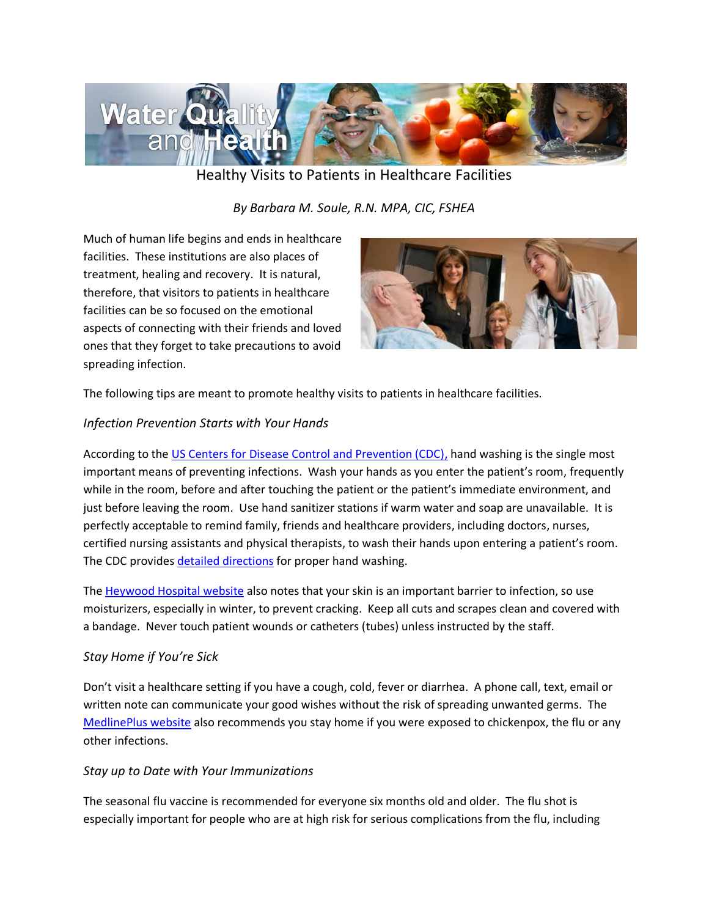

Healthy Visits to Patients in Healthcare Facilities

*By Barbara M. Soule, R.N. MPA, CIC, FSHEA* 

Much of human life begins and ends in healthcare facilities. These institutions are also places of treatment, healing and recovery. It is natural, therefore, that visitors to patients in healthcare facilities can be so focused on the emotional aspects of connecting with their friends and loved ones that they forget to take precautions to avoid spreading infection.



The following tips are meant to promote healthy visits to patients in healthcare facilities.

# *Infection Prevention Starts with Your Hands*

According to the [US Centers for Disease Control and Prevention \(CDC\),](http://www.cdc.gov/handwashing/) hand washing is the single most important means of preventing infections. Wash your hands as you enter the patient's room, frequently while in the room, before and after touching the patient or the patient's immediate environment, and just before leaving the room. Use hand sanitizer stations if warm water and soap are unavailable. It is perfectly acceptable to remind family, friends and healthcare providers, including doctors, nurses, certified nursing assistants and physical therapists, to wash their hands upon entering a patient's room. The CDC provides [detailed directions](http://www.cdc.gov/handwashing/) for proper hand washing.

The [Heywood Hospital website](http://www.heywood.org/services/infection-prevention-and-control) also notes that your skin is an important barrier to infection, so use moisturizers, especially in winter, to prevent cracking. Keep all cuts and scrapes clean and covered with a bandage. Never touch patient wounds or catheters (tubes) unless instructed by the staff.

## *Stay Home if You're Sick*

Don't visit a healthcare setting if you have a cough, cold, fever or diarrhea. A phone call, text, email or written note can communicate your good wishes without the risk of spreading unwanted germs. The [MedlinePlus website](https://www.nlm.nih.gov/medlineplus/ency/patientinstructions/000448.htm) also recommends you stay home if you were exposed to chickenpox, the flu or any other infections.

## *Stay up to Date with Your Immunizations*

The seasonal flu vaccine is recommended for everyone six months old and older. The flu shot is especially important for people who are at high risk for serious complications from the flu, including